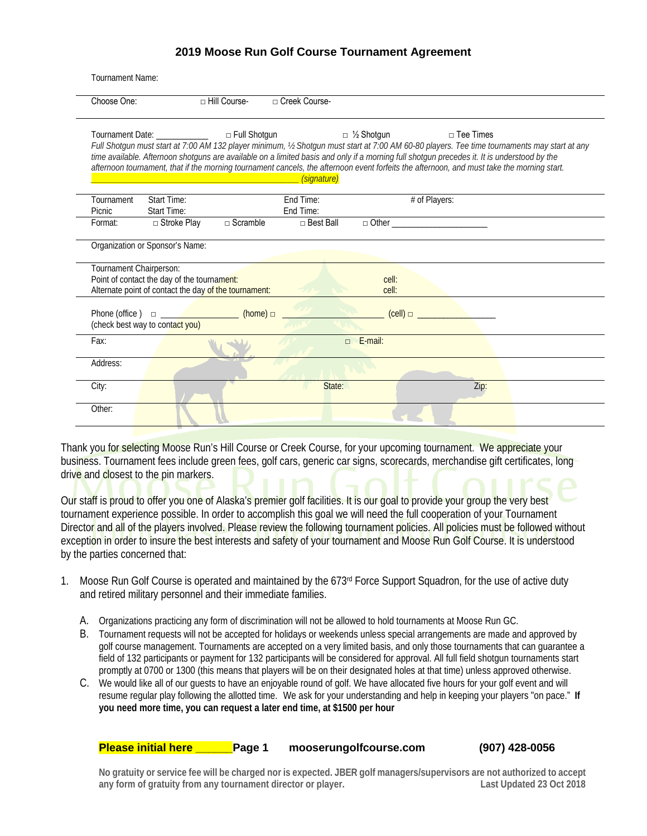| Tournament Name:        |                                                                                                      |                                                                                                                                         |                        |                    |                                                                                                                                                                                                                                                                                                               |                                                                                                                                               |
|-------------------------|------------------------------------------------------------------------------------------------------|-----------------------------------------------------------------------------------------------------------------------------------------|------------------------|--------------------|---------------------------------------------------------------------------------------------------------------------------------------------------------------------------------------------------------------------------------------------------------------------------------------------------------------|-----------------------------------------------------------------------------------------------------------------------------------------------|
| Choose One:             |                                                                                                      | □ Hill Course-                                                                                                                          | □ Creek Course-        |                    |                                                                                                                                                                                                                                                                                                               |                                                                                                                                               |
|                         | Tournament Date: _____________                                                                       | □ Full Shotgun<br><u> Albanya (Albanya) a Tanzania a Tanzania a Tanzania a Tanzania a Tanzania a Tanzania a Tanzania a Tanzania a T</u> | (signature)            | $\Box$ 1/2 Shotgun | $\Box$ Tee Times<br>time available. Afternoon shotguns are available on a limited basis and only if a morning full shotgun precedes it. It is understood by the<br>afternoon tournament, that if the morning tournament cancels, the afternoon event forfeits the afternoon, and must take the morning start. | Full Shotgun must start at 7:00 AM 132 player minimum, 1/2 Shotgun must start at 7:00 AM 60-80 players. Tee time tournaments may start at any |
| Tournament<br>Picnic    | Start Time:<br>Start Time:                                                                           |                                                                                                                                         | End Time:<br>End Time: |                    | # of Players:                                                                                                                                                                                                                                                                                                 |                                                                                                                                               |
| Format:                 | $\Box$ Stroke Play                                                                                   | $\Box$ Scramble                                                                                                                         | $\Box$ Best Ball       |                    | $\Box$ Other $\Box$                                                                                                                                                                                                                                                                                           |                                                                                                                                               |
|                         | Organization or Sponsor's Name:                                                                      |                                                                                                                                         |                        |                    |                                                                                                                                                                                                                                                                                                               |                                                                                                                                               |
| Tournament Chairperson: | Point of contact the day of the tournament:<br>Alternate point of contact the day of the tournament: |                                                                                                                                         |                        | cell:<br>cell:     |                                                                                                                                                                                                                                                                                                               |                                                                                                                                               |
| Phone (office)          | $\Box$<br>(check best way to contact you)                                                            | (home) $\Box$                                                                                                                           |                        |                    |                                                                                                                                                                                                                                                                                                               |                                                                                                                                               |
| Fax:                    |                                                                                                      |                                                                                                                                         |                        | $\Box$ E-mail:     |                                                                                                                                                                                                                                                                                                               |                                                                                                                                               |
| Address:                |                                                                                                      |                                                                                                                                         |                        |                    |                                                                                                                                                                                                                                                                                                               |                                                                                                                                               |
| City:                   |                                                                                                      |                                                                                                                                         | State:                 |                    | Zip:                                                                                                                                                                                                                                                                                                          |                                                                                                                                               |
| Other:                  |                                                                                                      |                                                                                                                                         |                        |                    |                                                                                                                                                                                                                                                                                                               |                                                                                                                                               |

Thank you for selecting Moose Run's Hill Course or Creek Course, for your upcoming tournament. We appreciate your business. Tournament fees include green fees, golf cars, generic car signs, scorecards, merchandise gift certificates, long drive and closest to the pin markers.

Our staff is proud to offer you one of Alaska's premier golf facilities. It is our goal to provide your group the very best tournament experience possible. In order to accomplish this goal we will need the full cooperation of your Tournament Director and all of the players involved. Please review the following tournament policies. All policies must be followed without exception in order to insure the best interests and safety of your tournament and Moose Run Golf Course. It is understood by the parties concerned that:

- 1. Moose Run Golf Course is operated and maintained by the 673<sup>rd</sup> Force Support Squadron, for the use of active duty and retired military personnel and their immediate families.
	- A. Organizations practicing any form of discrimination will not be allowed to hold tournaments at Moose Run GC.
	- B. Tournament requests will not be accepted for holidays or weekends unless special arrangements are made and approved by golf course management. Tournaments are accepted on a very limited basis, and only those tournaments that can guarantee a field of 132 participants or payment for 132 participants will be considered for approval. All full field shotgun tournaments start promptly at 0700 or 1300 (this means that players will be on their designated holes at that time) unless approved otherwise.
	- C. We would like all of our guests to have an enjoyable round of golf. We have allocated five hours for your golf event and will resume regular play following the allotted time. We ask for your understanding and help in keeping your players "on pace." **If you need more time, you can request a later end time, at \$1500 per hour**

**Please initial here \_\_\_\_\_\_Page 1 mooserungolfcourse.com (907) 428-0056**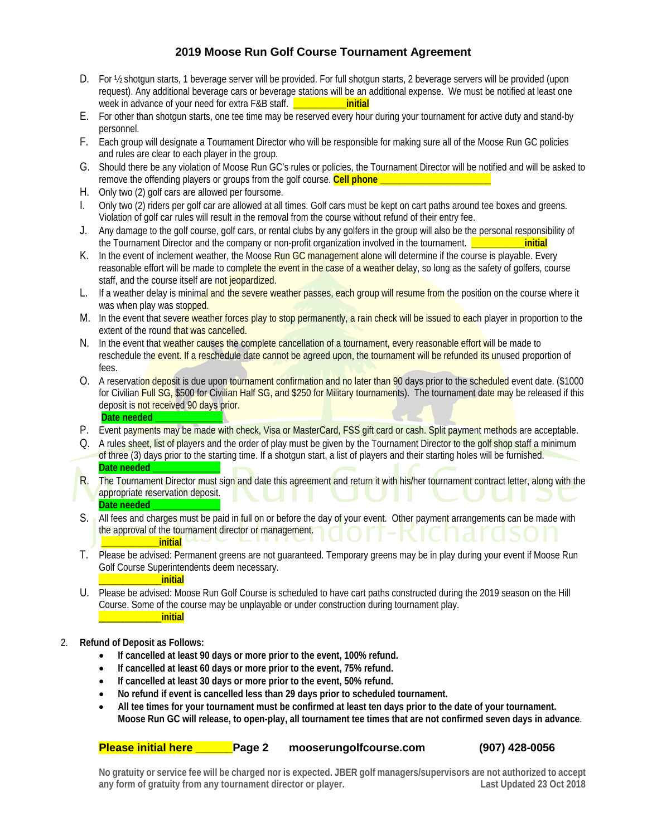- D. For  $\frac{1}{2}$  shotgun starts, 1 beverage server will be provided. For full shotgun starts, 2 beverage servers will be provided (upon request). Any additional beverage cars or beverage stations will be an additional expense. We must be notified at least one week in advance of your need for extra F&B staff. **The container initial**
- E. For other than shotgun starts, one tee time may be reserved every hour during your tournament for active duty and stand-by personnel.
- F. Each group will designate a Tournament Director who will be responsible for making sure all of the Moose Run GC policies and rules are clear to each player in the group.
- G. Should there be any violation of Moose Run GC's rules or policies, the Tournament Director will be notified and will be asked to remove the offending players or groups from the golf course. Cell phone \_
- H. Only two (2) golf cars are allowed per foursome.
- I. Only two (2) riders per golf car are allowed at all times. Golf cars must be kept on cart paths around tee boxes and greens. Violation of golf car rules will result in the removal from the course without refund of their entry fee.
- J. Any damage to the golf course, golf cars, or rental clubs by any golfers in the group will also be the personal responsibility of the Tournament Director and the company or non-profit organization involved in the tournament. **\_\_\_\_\_\_\_\_\_\_\_initial**
- K. In the event of inclement weather, the Moose Run GC management alone will determine if the course is playable. Every reasonable effort will be made to complete the event in the case of a weather delay, so long as the safety of golfers, course staff, and the course itself are not jeopardized.
- L. If a weather delay is minimal and the severe weather passes, each group will resume from the position on the course where it was when play was stopped.
- M. In the event that severe weather forces play to stop permanently, a rain check will be issued to each player in proportion to the extent of the round that was cancelled.
- N. In the event that weather causes the complete cancellation of a tournament, every reasonable effort will be made to reschedule the event. If a reschedule date cannot be agreed upon, the tournament will be refunded its unused proportion of fees.
- O. A reservation deposit is due upon tournament confirmation and no later than 90 days prior to the scheduled event date. (\$1000 for Civilian Full SG, \$500 for Civilian Half SG, and \$250 for Military tournaments). The tournament date may be released if this deposit is not received 90 days prior. Date needed
- P. Event payments may be made with check, Visa or MasterCard, FSS gift card or cash. Split payment methods are acceptable.
- Q. A rules sheet, list of players and the order of play must be given by the Tournament Director to the golf shop staff a minimum of three (3) days prior to the starting time. If a shotgun start, a list of players and their starting holes will be furnished. Date needed
- R. The Tournament Director must sign and date this agreement and return it with his/her tournament contract letter, along with the appropriate reservation deposit. Date needed
- S. All fees and charges must be paid in full on or before the day of your event. Other payment arrangements can be made with the approval of the tournament director or management. **\_\_\_\_\_\_\_\_\_\_\_\_initial**
- T. Please be advised: Permanent greens are not guaranteed. Temporary greens may be in play during your event if Moose Run Golf Course Superintendents deem necessary.
	- \_\_\_\_\_\_\_\_\_\_\_\_\_**initial**
- U. Please be advised: Moose Run Golf Course is scheduled to have cart paths constructed during the 2019 season on the Hill Course. Some of the course may be unplayable or under construction during tournament play. \_\_\_\_\_\_\_\_\_\_\_\_\_**initial**
- 2. **Refund of Deposit as Follows:**
	- **If cancelled at least 90 days or more prior to the event, 100% refund.**
	- **If cancelled at least 60 days or more prior to the event, 75% refund.**
	- **If cancelled at least 30 days or more prior to the event, 50% refund.**
	- **No refund if event is cancelled less than 29 days prior to scheduled tournament.**
	- **All tee times for your tournament must be confirmed at least ten days prior to the date of your tournament. Moose Run GC will release, to open-play, all tournament tee times that are not confirmed seven days in advance**.

**Please initial here \_\_\_\_\_\_Page 2 mooserungolfcourse.com (907) 428-0056**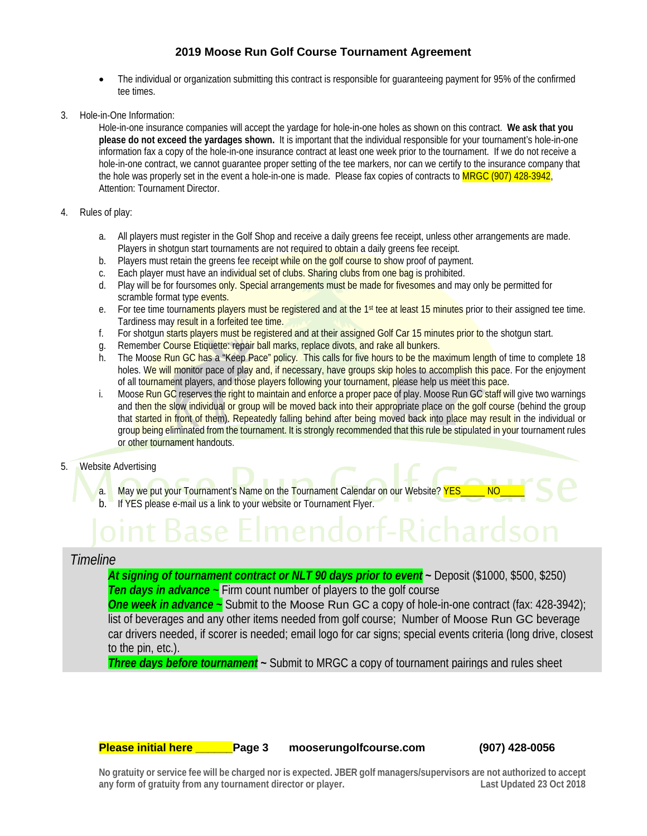- The individual or organization submitting this contract is responsible for guaranteeing payment for 95% of the confirmed tee times.
- 3. Hole-in-One Information:

Hole-in-one insurance companies will accept the yardage for hole-in-one holes as shown on this contract. **We ask that you please do not exceed the yardages shown.** It is important that the individual responsible for your tournament's hole-in-one information fax a copy of the hole-in-one insurance contract at least one week prior to the tournament. If we do not receive a hole-in-one contract, we cannot guarantee proper setting of the tee markers, nor can we certify to the insurance company that the hole was properly set in the event a hole-in-one is made. Please fax copies of contracts to MRGC (907) 428-3942, Attention: Tournament Director.

- 4. Rules of play:
	- a. All players must register in the Golf Shop and receive a daily greens fee receipt, unless other arrangements are made. Players in shotgun start tournaments are not required to obtain a daily greens fee receipt.
	- b. Players must retain the greens fee receipt while on the golf course to show proof of payment.<br>c. Each player must have an individual set of clubs. Sharing clubs from one bag is prohibited.
	- Each player must have an individual set of clubs. Sharing clubs from one bag is prohibited.
	- d. Play will be for foursomes only. Special arrangements must be made for fivesomes and may only be permitted for scramble format type events.
	- e. For tee time tournaments players must be registered and at the 1<sup>st</sup> tee at least 15 minutes prior to their assigned tee time. Tardiness may result in a forfeited tee time.
	- f. For shotgun starts players must be registered and at their assigned Golf Car 15 minutes prior to the shotgun start.
	- g. Remember Course Etiquette: repair ball marks, replace divots, and rake all bunkers.
	- h. The Moose Run GC has a "Keep Pace" policy. This calls for five hours to be the maximum length of time to complete 18 holes. We will monitor pace of play and, if necessary, have groups skip holes to accomplish this pace. For the enjoyment of all tournament players, and those players following your tournament, please help us meet this pace.
	- i. Moose Run GC reserves the right to maintain and enforce a proper pace of play. Moose Run GC staff will give two warnings and then the slow individual or group will be moved back into their appropriate place on the golf course (behind the group that started in front of them). Repeatedly falling behind after being moved back into place may result in the individual or group being eliminated from the tournament. It is strongly recommended that this rule be stipulated in your tournament rules or other tournament handouts.
- 5. Website Advertising
	- a. May we put your Tournament's Name on the Tournament Calendar on our Website? YES\_\_\_\_\_ NO b. If YES please e-mail us a link to your website or Tournament Flyer.

# *Timeline*

*At signing of tournament contract or NLT 90 days prior to event* **~** Deposit (\$1000, \$500, \$250) **Ten days in advance ~** Firm count number of players to the golf course

*One week in advance* **~** Submit to the Moose Run GC a copy of hole-in-one contract (fax: 428-3942); list of beverages and any other items needed from golf course; Number of Moose Run GC beverage car drivers needed, if scorer is needed; email logo for car signs; special events criteria (long drive, closest to the pin, etc.).

*Three days before tournament* **~** Submit to MRGC a copy of tournament pairings and rules sheet

**Please initial here \_\_\_\_\_\_Page 3 mooserungolfcourse.com (907) 428-0056**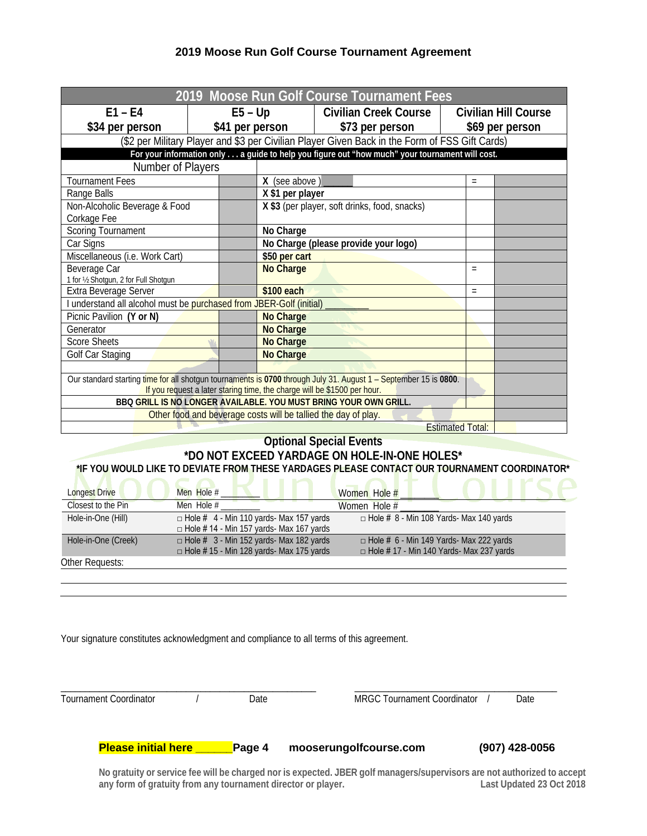| 2019 Moose Run Golf Course Tournament Fees                                                                                                                                                   |                                                                                                  |                                                                                                   |          |                             |  |
|----------------------------------------------------------------------------------------------------------------------------------------------------------------------------------------------|--------------------------------------------------------------------------------------------------|---------------------------------------------------------------------------------------------------|----------|-----------------------------|--|
| $E1 - E4$                                                                                                                                                                                    | $E5 - Up$                                                                                        | <b>Civilian Creek Course</b>                                                                      |          | <b>Civilian Hill Course</b> |  |
| \$34 per person                                                                                                                                                                              | \$41 per person                                                                                  | \$73 per person                                                                                   |          | \$69 per person             |  |
|                                                                                                                                                                                              |                                                                                                  | (\$2 per Military Player and \$3 per Civilian Player Given Back in the Form of FSS Gift Cards)    |          |                             |  |
|                                                                                                                                                                                              |                                                                                                  | For your information only a guide to help you figure out "how much" your tournament will cost.    |          |                             |  |
| Number of Players                                                                                                                                                                            |                                                                                                  |                                                                                                   |          |                             |  |
| Tournament Fees                                                                                                                                                                              | X (see above)                                                                                    |                                                                                                   | $\equiv$ |                             |  |
| Range Balls                                                                                                                                                                                  | X \$1 per player                                                                                 |                                                                                                   |          |                             |  |
| Non-Alcoholic Beverage & Food<br>Corkage Fee                                                                                                                                                 |                                                                                                  | X \$3 (per player, soft drinks, food, snacks)                                                     |          |                             |  |
| <b>Scoring Tournament</b>                                                                                                                                                                    | No Charge                                                                                        |                                                                                                   |          |                             |  |
| Car Signs                                                                                                                                                                                    |                                                                                                  | No Charge (please provide your logo)                                                              |          |                             |  |
| Miscellaneous (i.e. Work Cart)                                                                                                                                                               | \$50 per cart                                                                                    |                                                                                                   |          |                             |  |
| Beverage Car<br>1 for 1/2 Shotgun, 2 for Full Shotgun                                                                                                                                        |                                                                                                  | <b>No Charge</b>                                                                                  |          |                             |  |
| Extra Beverage Server                                                                                                                                                                        |                                                                                                  | \$100 each                                                                                        |          |                             |  |
| I understand all alcohol must be purchased from JBER-Golf (initial)                                                                                                                          |                                                                                                  |                                                                                                   |          |                             |  |
| Picnic Pavilion (Y or N)                                                                                                                                                                     | <b>No Charge</b>                                                                                 |                                                                                                   |          |                             |  |
| Generator                                                                                                                                                                                    |                                                                                                  | <b>No Charge</b>                                                                                  |          |                             |  |
| <b>Score Sheets</b>                                                                                                                                                                          |                                                                                                  | No Charge                                                                                         |          |                             |  |
| Golf Car Staging                                                                                                                                                                             | <b>No Charge</b>                                                                                 |                                                                                                   |          |                             |  |
|                                                                                                                                                                                              |                                                                                                  |                                                                                                   |          |                             |  |
| Our standard starting time for all shotgun tournaments is 0700 through July 31. August 1 - September 15 is 0800.<br>If you request a later staring time, the charge will be \$1500 per hour. |                                                                                                  |                                                                                                   |          |                             |  |
|                                                                                                                                                                                              |                                                                                                  | BBQ GRILL IS NO LONGER AVAILABLE. YOU MUST BRING YOUR OWN GRILL.                                  |          |                             |  |
|                                                                                                                                                                                              | Other food and beverage costs will be tallied the day of play.                                   |                                                                                                   |          |                             |  |
| <b>Estimated Total:</b>                                                                                                                                                                      |                                                                                                  |                                                                                                   |          |                             |  |
|                                                                                                                                                                                              |                                                                                                  | <b>Optional Special Events</b>                                                                    |          |                             |  |
| *DO NOT EXCEED YARDAGE ON HOLE-IN-ONE HOLES*                                                                                                                                                 |                                                                                                  |                                                                                                   |          |                             |  |
| *IF YOU WOULD LIKE TO DEVIATE FROM THESE YARDAGES PLEASE CONTACT OUR TOURNAMENT COORDINATOR*                                                                                                 |                                                                                                  |                                                                                                   |          |                             |  |
| Men Hole #<br>Longest Drive                                                                                                                                                                  |                                                                                                  | Women Hole #                                                                                      |          |                             |  |
| Closest to the Pin<br>Men Hole $#$                                                                                                                                                           |                                                                                                  | Women Hole $#$                                                                                    |          |                             |  |
| Hole-in-One (Hill)                                                                                                                                                                           | $\Box$ Hole # 4 - Min 110 yards- Max 157 yards                                                   | $\Box$ Hole # 8 - Min 108 Yards- Max 140 yards                                                    |          |                             |  |
|                                                                                                                                                                                              | $\Box$ Hole # 14 - Min 157 yards- Max 167 yards                                                  |                                                                                                   |          |                             |  |
| Hole-in-One (Creek)                                                                                                                                                                          | $\Box$ Hole # 3 - Min 152 yards- Max 182 yards<br>$\Box$ Hole #15 - Min 128 yards- Max 175 yards | $\Box$ Hole # 6 - Min 149 Yards- Max 222 yards<br>$\Box$ Hole # 17 - Min 140 Yards- Max 237 yards |          |                             |  |

Other Requests:

\_\_\_\_\_\_\_\_\_\_\_\_\_\_\_\_\_\_\_\_\_\_\_\_\_\_\_\_\_\_\_\_\_\_\_\_\_\_\_\_\_\_\_\_\_\_\_\_\_\_\_\_\_ \_\_\_\_\_\_\_\_\_\_\_\_\_\_\_\_\_\_\_\_\_\_\_\_\_\_\_\_\_\_\_\_\_\_\_\_\_\_\_\_\_\_

Your signature constitutes acknowledgment and compliance to all terms of this agreement.

Tournament Coordinator / Date MRGC Tournament Coordinator / Date

**Please initial here \_\_\_\_\_\_Page 4 mooserungolfcourse.com (907) 428-0056**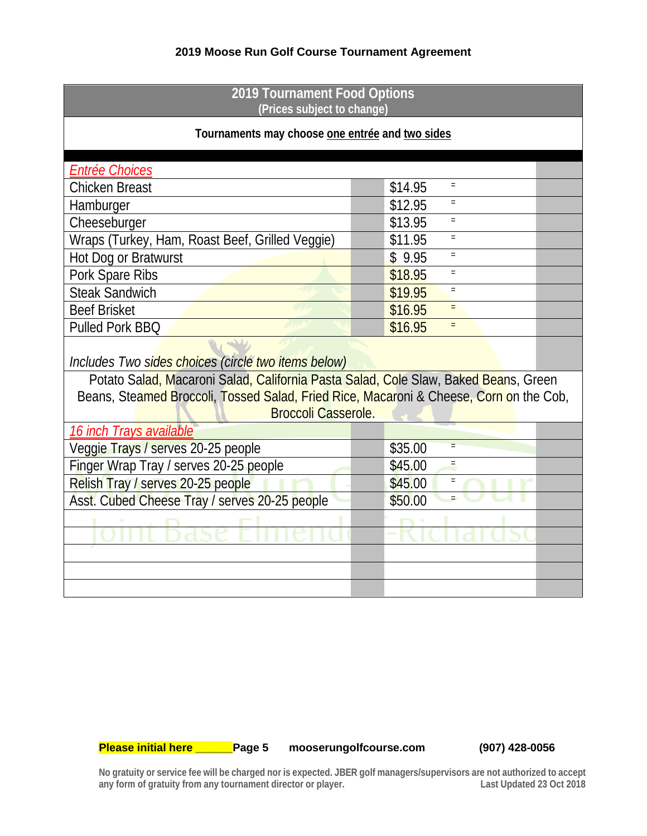| 2019 Tournament Food Options<br>(Prices subject to change)                                                    |                              |  |  |  |  |
|---------------------------------------------------------------------------------------------------------------|------------------------------|--|--|--|--|
| Tournaments may choose one entrée and two sides                                                               |                              |  |  |  |  |
| Entrée Choices                                                                                                |                              |  |  |  |  |
| <b>Chicken Breast</b>                                                                                         | \$14.95                      |  |  |  |  |
| Hamburger                                                                                                     | \$12.95                      |  |  |  |  |
| Cheeseburger                                                                                                  | \$13.95<br>$\equiv$          |  |  |  |  |
| Wraps (Turkey, Ham, Roast Beef, Grilled Veggie)                                                               | \$11.95                      |  |  |  |  |
| Hot Dog or Bratwurst                                                                                          | \$9.95                       |  |  |  |  |
| Pork Spare Ribs                                                                                               | \$18.95                      |  |  |  |  |
| <b>Steak Sandwich</b>                                                                                         | \$19.95<br>$=$               |  |  |  |  |
| <b>Beef Brisket</b>                                                                                           | \$16.95                      |  |  |  |  |
| <b>Pulled Pork BBQ</b>                                                                                        | \$16.95<br>$\qquad \qquad =$ |  |  |  |  |
| Includes Two sides choices (circle two items below)                                                           |                              |  |  |  |  |
| Potato Salad, Macaroni Salad, California Pasta Salad, Cole Slaw, Baked Beans, Green                           |                              |  |  |  |  |
| Beans, Steamed Broccoli, Tossed Salad, Fried Rice, Macaroni & Cheese, Corn on the Cob,<br>Broccoli Casserole. |                              |  |  |  |  |
| 16 inch Trays available                                                                                       |                              |  |  |  |  |
| Veggie Trays / serves 20-25 people                                                                            | \$35.00                      |  |  |  |  |
| Finger Wrap Tray / serves 20-25 people                                                                        | \$45.00                      |  |  |  |  |
| Relish Tray / serves 20-25 people                                                                             | \$45.00                      |  |  |  |  |
| Asst. Cubed Cheese Tray / serves 20-25 people                                                                 | \$50.00                      |  |  |  |  |
|                                                                                                               |                              |  |  |  |  |
|                                                                                                               |                              |  |  |  |  |
|                                                                                                               |                              |  |  |  |  |
|                                                                                                               |                              |  |  |  |  |
|                                                                                                               |                              |  |  |  |  |

**Please initial here \_\_\_\_\_\_Page 5 mooserungolfcourse.com (907) 428-0056**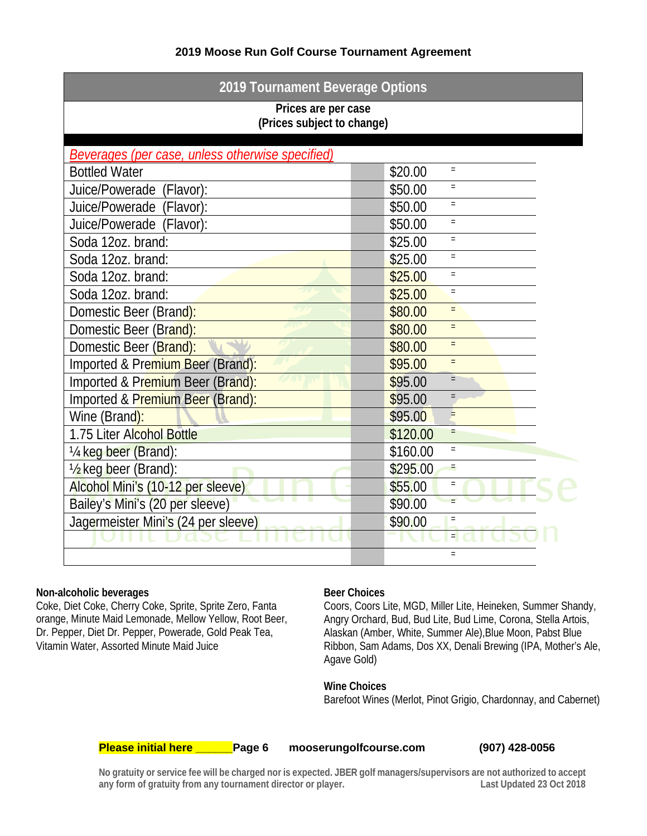| 2019 Tournament Beverage Options                  |                               |  |  |  |  |
|---------------------------------------------------|-------------------------------|--|--|--|--|
| Prices are per case<br>(Prices subject to change) |                               |  |  |  |  |
|                                                   |                               |  |  |  |  |
| Beverages (per case, unless otherwise specified)  |                               |  |  |  |  |
| <b>Bottled Water</b>                              | \$20.00<br>$\qquad \qquad =$  |  |  |  |  |
| Juice/Powerade (Flavor):                          | \$50.00<br>$\equiv$           |  |  |  |  |
| Juice/Powerade (Flavor):                          | \$50.00<br>$=$                |  |  |  |  |
| Juice/Powerade (Flavor):                          | \$50.00<br>$=$                |  |  |  |  |
| Soda 12oz. brand:                                 | \$25.00<br>$\equiv$           |  |  |  |  |
| Soda 12oz. brand:                                 | \$25.00<br>$\quad \  \  =$    |  |  |  |  |
| Soda 12oz. brand:                                 | \$25.00<br>$=$                |  |  |  |  |
| Soda 12oz. brand:                                 | \$25.00<br>$\quad =$          |  |  |  |  |
| Domestic Beer (Brand):                            | \$80.00<br>$\qquad \qquad =$  |  |  |  |  |
| Domestic Beer (Brand):                            | \$80.00<br>$=$                |  |  |  |  |
| Domestic Beer (Brand):                            | \$80.00<br>$\equiv$           |  |  |  |  |
| Imported & Premium Beer (Brand):                  | \$95.00<br>$\qquad \qquad =$  |  |  |  |  |
| Imported & Premium Beer (Brand):                  | \$95.00<br>$=$                |  |  |  |  |
| Imported & Premium Beer (Brand):                  | \$95.00<br>$\qquad \qquad =$  |  |  |  |  |
| Wine (Brand):                                     | $=$<br>\$95.00                |  |  |  |  |
| 1.75 Liter Alcohol Bottle                         | \$120.00<br>$\qquad \qquad =$ |  |  |  |  |
| 1/4 keg beer (Brand):                             | \$160.00<br>$\equiv$          |  |  |  |  |
| 1/2 keg beer (Brand):                             | \$295.00<br>Ξ                 |  |  |  |  |
| Alcohol Mini's (10-12 per sleeve)                 | \$55.00<br>$\quad =$          |  |  |  |  |
| Bailey's Mini's (20 per sleeve)                   | \$90.00                       |  |  |  |  |
| Jagermeister Mini's (24 per sleeve)               | \$90.00<br>$\equiv$           |  |  |  |  |
|                                                   | $=$                           |  |  |  |  |
|                                                   | $=$                           |  |  |  |  |

## **Non-alcoholic beverages**

Coke, Diet Coke, Cherry Coke, Sprite, Sprite Zero, Fanta orange, Minute Maid Lemonade, Mellow Yellow, Root Beer, Dr. Pepper, Diet Dr. Pepper, Powerade, Gold Peak Tea, Vitamin Water, Assorted Minute Maid Juice

# **Beer Choices**

Coors, Coors Lite, MGD, Miller Lite, Heineken, Summer Shandy, Angry Orchard, Bud, Bud Lite, Bud Lime, Corona, Stella Artois, Alaskan (Amber, White, Summer Ale),Blue Moon, Pabst Blue Ribbon, Sam Adams, Dos XX, Denali Brewing (IPA, Mother's Ale, Agave Gold)

## **Wine Choices**

Barefoot Wines (Merlot, Pinot Grigio, Chardonnay, and Cabernet)

**Please initial here \_\_\_\_\_\_Page 6 mooserungolfcourse.com (907) 428-0056**

mooserungolfcourse.com